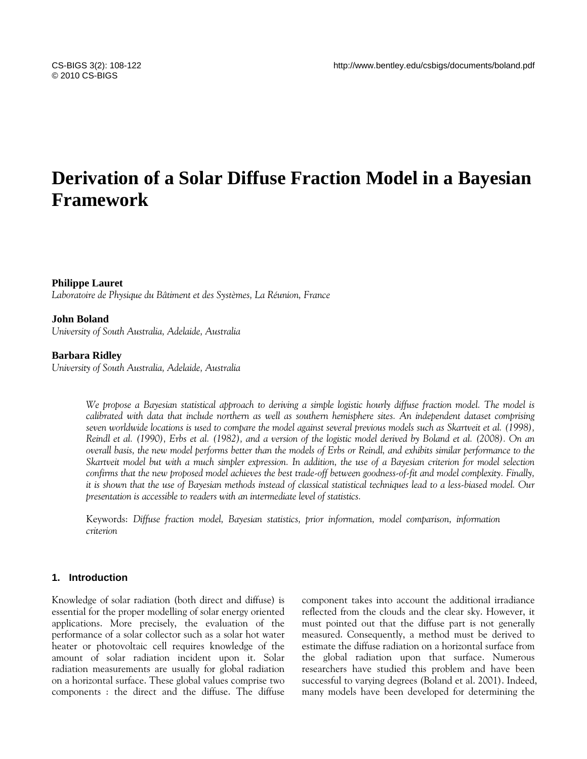# **Derivation of a Solar Diffuse Fraction Model in a Bayesian Framework**

# **Philippe Lauret**

*Laboratoire de Physique du Bâtiment et des Systèmes, La Réunion, France* 

#### **John Boland**

*University of South Australia, Adelaide, Australia* 

#### **Barbara Ridley**

*University of South Australia, Adelaide, Australia* 

*We propose a Bayesian statistical approach to deriving a simple logistic hourly diffuse fraction model. The model is calibrated with data that include northern as well as southern hemisphere sites. An independent dataset comprising seven worldwide locations is used to compare the model against several previous models such as Skartveit et al. (1998), Reindl et al. (1990), Erbs et al. (1982), and a version of the logistic model derived by Boland et al. (2008). On an overall basis, the new model performs better than the models of Erbs or Reindl, and exhibits similar performance to the Skartveit model but with a much simpler expression. In addition, the use of a Bayesian criterion for model selection confirms that the new proposed model achieves the best trade-off between goodness-of-fit and model complexity. Finally, it is shown that the use of Bayesian methods instead of classical statistical techniques lead to a less-biased model. Our presentation is accessible to readers with an intermediate level of statistics.* 

Keywords: *Diffuse fraction model, Bayesian statistics, prior information, model comparison, information criterion* 

# **1. Introduction**

Knowledge of solar radiation (both direct and diffuse) is essential for the proper modelling of solar energy oriented applications. More precisely, the evaluation of the performance of a solar collector such as a solar hot water heater or photovoltaic cell requires knowledge of the amount of solar radiation incident upon it. Solar radiation measurements are usually for global radiation on a horizontal surface. These global values comprise two components : the direct and the diffuse. The diffuse component takes into account the additional irradiance reflected from the clouds and the clear sky. However, it must pointed out that the diffuse part is not generally measured. Consequently, a method must be derived to estimate the diffuse radiation on a horizontal surface from the global radiation upon that surface. Numerous researchers have studied this problem and have been successful to varying degrees (Boland et al. 2001). Indeed, many models have been developed for determining the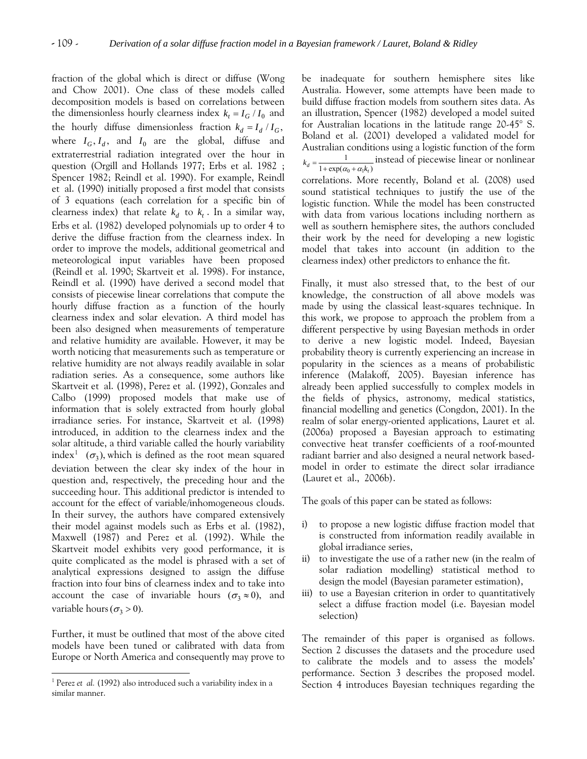fraction of the global which is direct or diffuse (Wong and Chow 2001). One class of these models called decomposition models is based on correlations between the dimensionless hourly clearness index  $k_t = I_G / I_0$  and the hourly diffuse dimensionless fraction  $k_d = I_d / I_G$ , where  $I_G$ ,  $I_d$ , and  $I_0$  are the global, diffuse and extraterrestrial radiation integrated over the hour in question (Orgill and Hollands 1977; Erbs et al. 1982 ; Spencer 1982; Reindl et al. 1990). For example, Reindl et al. (1990) initially proposed a first model that consists of 3 equations (each correlation for a specific bin of clearness index) that relate  $k_d$  to  $k_t$ . In a similar way, Erbs et al. (1982) developed polynomials up to order 4 to derive the diffuse fraction from the clearness index. In order to improve the models, additional geometrical and meteorological input variables have been proposed (Reindl et al. 1990; Skartveit et al. 1998). For instance, Reindl et al. (1990) have derived a second model that consists of piecewise linear correlations that compute the hourly diffuse fraction as a function of the hourly clearness index and solar elevation. A third model has been also designed when measurements of temperature and relative humidity are available. However, it may be worth noticing that measurements such as temperature or relative humidity are not always readily available in solar radiation series. As a consequence, some authors like Skartveit et al. (1998), Perez et al. (1992), Gonzales and Calbo (1999) proposed models that make use of information that is solely extracted from hourly global irradiance series. For instance, Skartveit et al. (1998) introduced, in addition to the clearness index and the solar altitude, a third variable called the hourly variability index<sup>[1](#page-1-0)</sup> ( $\sigma_3$ ), which is defined as the root mean squared deviation between the clear sky index of the hour in question and, respectively, the preceding hour and the succeeding hour. This additional predictor is intended to account for the effect of variable/inhomogeneous clouds. In their survey, the authors have compared extensively their model against models such as Erbs et al. (1982), Maxwell (1987) and Perez et al*.* (1992). While the Skartveit model exhibits very good performance, it is quite complicated as the model is phrased with a set of analytical expressions designed to assign the diffuse fraction into four bins of clearness index and to take into account the case of invariable hours  $(\sigma_3 \approx 0)$ , and variable hours  $(\sigma_3 > 0)$ .

Further, it must be outlined that most of the above cited models have been tuned or calibrated with data from Europe or North America and consequently may prove to

 $\overline{a}$ 

be inadequate for southern hemisphere sites like Australia. However, some attempts have been made to build diffuse fraction models from southern sites data. As an illustration, Spencer (1982) developed a model suited for Australian locations in the latitude range 20-45° S. Boland et al. (2001) developed a validated model for Australian conditions using a logistic function of the form  $0 + u_1$ 1  $k_d = \frac{1}{1 + \exp(\alpha_0 + \alpha_1 k_t)}$  instead of piecewise linear or nonlinear correlations. More recently, Boland et al. (2008) used sound statistical techniques to justify the use of the logistic function. While the model has been constructed with data from various locations including northern as well as southern hemisphere sites, the authors concluded their work by the need for developing a new logistic model that takes into account (in addition to the clearness index) other predictors to enhance the fit.

Finally, it must also stressed that, to the best of our knowledge, the construction of all above models was made by using the classical least-squares technique. In this work, we propose to approach the problem from a different perspective by using Bayesian methods in order to derive a new logistic model. Indeed, Bayesian probability theory is currently experiencing an increase in popularity in the sciences as a means of probabilistic inference (Malakoff, 2005). Bayesian inference has already been applied successfully to complex models in the fields of physics, astronomy, medical statistics, financial modelling and genetics (Congdon, 2001). In the realm of solar energy-oriented applications, Lauret et al. (2006a) proposed a Bayesian approach to estimating convective heat transfer coefficients of a roof-mounted radiant barrier and also designed a neural network basedmodel in order to estimate the direct solar irradiance (Lauret et al., 2006b).

The goals of this paper can be stated as follows:

- i) to propose a new logistic diffuse fraction model that is constructed from information readily available in global irradiance series,
- ii) to investigate the use of a rather new (in the realm of solar radiation modelling) statistical method to design the model (Bayesian parameter estimation),
- iii) to use a Bayesian criterion in order to quantitatively select a diffuse fraction model (i.e. Bayesian model selection)

The remainder of this paper is organised as follows. Section 2 discusses the datasets and the procedure used to calibrate the models and to assess the models' performance. Section 3 describes the proposed model. Section 4 introduces Bayesian techniques regarding the

<span id="page-1-0"></span><sup>&</sup>lt;sup>1</sup> Perez *et al.* (1992) also introduced such a variability index in a similar manner.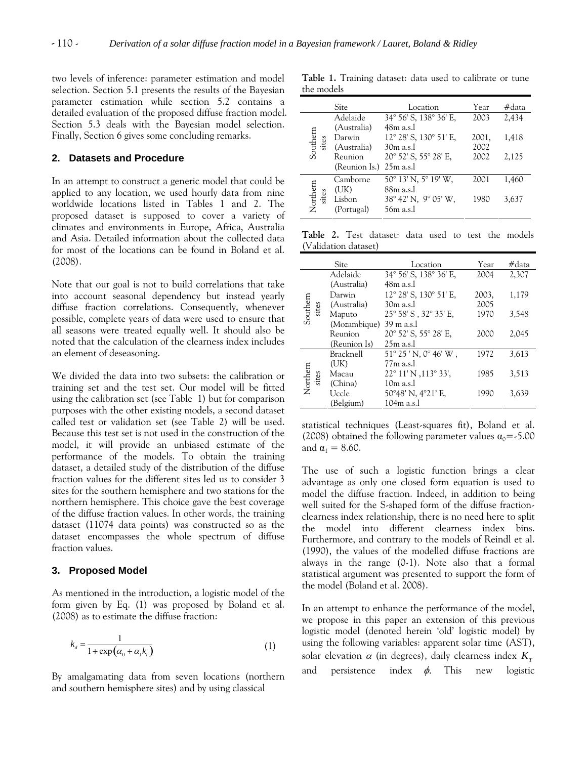two levels of inference: parameter estimation and model selection. Section 5.1 presents the results of the Bayesian parameter estimation while section 5.2 contains a detailed evaluation of the proposed diffuse fraction model. Section 5.3 deals with the Bayesian model selection. Finally, Section 6 gives some concluding remarks.

# **2. Datasets and Procedure**

In an attempt to construct a generic model that could be applied to any location, we used hourly data from nine worldwide locations listed in Tables 1 and 2. The proposed dataset is supposed to cover a variety of climates and environments in Europe, Africa, Australia and Asia. Detailed information about the collected data for most of the locations can be found in Boland et al. (2008).

Note that our goal is not to build correlations that take into account seasonal dependency but instead yearly diffuse fraction correlations. Consequently, whenever possible, complete years of data were used to ensure that all seasons were treated equally well. It should also be noted that the calculation of the clearness index includes an element of deseasoning.

We divided the data into two subsets: the calibration or training set and the test set. Our model will be fitted using the calibration set (see Table 1) but for comparison purposes with the other existing models, a second dataset called test or validation set (see Table 2) will be used. Because this test set is not used in the construction of the model, it will provide an unbiased estimate of the performance of the models. To obtain the training dataset, a detailed study of the distribution of the diffuse fraction values for the different sites led us to consider 3 sites for the southern hemisphere and two stations for the northern hemisphere. This choice gave the best coverage of the diffuse fraction values. In other words, the training dataset (11074 data points) was constructed so as the dataset encompasses the whole spectrum of diffuse fraction values.

# **3. Proposed Model**

As mentioned in the introduction, a logistic model of the form given by Eq. (1) was proposed by Boland et al. (2008) as to estimate the diffuse fraction:

$$
k_d = \frac{1}{1 + \exp\left(\alpha_0 + \alpha_1 k_t\right)}\tag{1}
$$

By amalgamating data from seven locations (northern and southern hemisphere sites) and by using classical

**Table 1.** Training dataset: data used to calibrate or tune the models

|                   | Site                                            | Location                                                                   | Year                  | #data          |
|-------------------|-------------------------------------------------|----------------------------------------------------------------------------|-----------------------|----------------|
|                   | Adelaide                                        | 34° 56' S, 138° 36' E,                                                     | 2003                  | 2,434          |
| Southern<br>sites | (Australia)<br>Darwin<br>(Australia)<br>Reunion | 48m a.s.l<br>12° 28' S, 130° 51' E,<br>$30m$ a.s.<br>20° 52' S, 55° 28' E, | 2001,<br>2002<br>2002 | 1,418<br>2,125 |
|                   | (Reunion Is.)                                   | $25m$ a.s.                                                                 |                       |                |
|                   | Camborne<br>(UK)                                | $50^{\circ}$ 13' N, $5^{\circ}$ 19' W,<br>88m a.s.l                        | 2001                  | 1.460          |
| Northern<br>sites | Lisbon<br>(Portugal)                            | $38^{\circ}$ 42' N, 9 $^{\circ}$ 05' W,<br>56 <sub>m</sub> a.s.            | 1980                  | 3,637          |

**Table 2.** Test dataset: data used to test the models (Validation dataset)

|          | Site         | Location                                 | Year  | #data |
|----------|--------------|------------------------------------------|-------|-------|
|          | Adelaide     | 34° 56' S, 138° 36' E,                   | 2004  | 2,307 |
|          | (Australia)  | 48m a.s.l                                |       |       |
|          | Darwin       | 12° 28' S, 130° 51' E,                   | 2003, | 1,179 |
| sites    | (Australia)  | $30m$ a.s.                               | 2005  |       |
| Southern | Maputo       | 25° 58' S, 32° 35' E,                    | 1970  | 3,548 |
|          | (Mozambique) | $39 \text{ m a.s.}$                      |       |       |
|          | Reunion      | $20^{\circ}$ 52' S, 55 $^{\circ}$ 28' E, | 2000  | 2,045 |
|          | (Reunion Is) | $25m$ a.s.                               |       |       |
|          | Bracknell    | $51^{\circ} 25'$ N, $0^{\circ} 46'$ W,   | 1972  | 3,613 |
|          | (UK)         | $77m$ a.s.                               |       |       |
| sites    | Macau        | $22^{\circ}$ 11' N , 113 $^{\circ}$ 33', | 1985  | 3,513 |
| Northern | (China)      | $10m$ a.s.                               |       |       |
|          | Uccle        | 50°48' N, 4°21' E,                       | 1990  | 3,639 |
|          | (Belgium)    | 104 <sub>m</sub> a.s.l                   |       |       |

statistical techniques (Least-squares fit), Boland et al. (2008) obtained the following parameter values  $\alpha_0 = -5.00$ and  $\alpha_1 = 8.60$ .

The use of such a logistic function brings a clear advantage as only one closed form equation is used to model the diffuse fraction. Indeed, in addition to being well suited for the S-shaped form of the diffuse fractionclearness index relationship, there is no need here to split the model into different clearness index bins. Furthermore, and contrary to the models of Reindl et al. (1990), the values of the modelled diffuse fractions are always in the range (0-1). Note also that a formal statistical argument was presented to support the form of the model (Boland et al. 2008).

In an attempt to enhance the performance of the model, we propose in this paper an extension of this previous logistic model (denoted herein 'old' logistic model) by using the following variables: apparent solar time (AST), solar elevation  $\alpha$  (in degrees), daily clearness index  $K_{_T}$ and persistence index  $\phi$ . This new logistic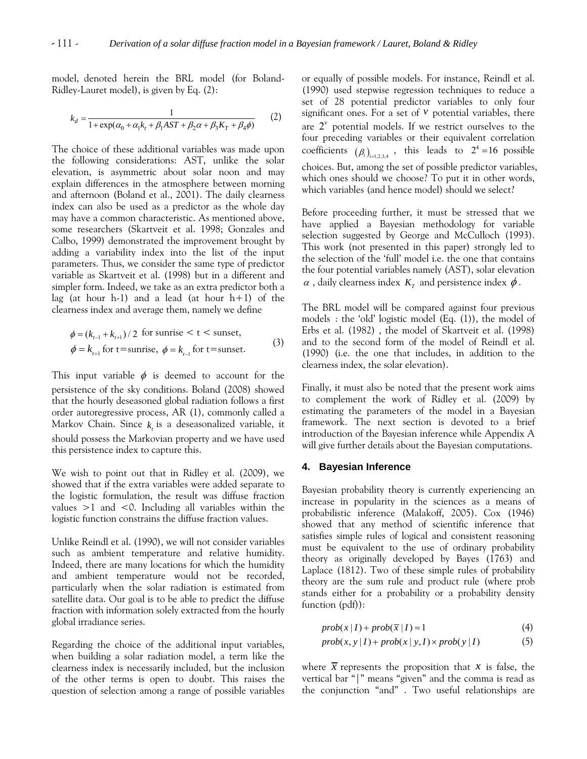model, denoted herein the BRL model (for Boland-Ridley-Lauret model), is given by Eq. (2):

$$
k_d = \frac{1}{1 + \exp(\alpha_0 + \alpha_1 k_t + \beta_1 A S T + \beta_2 \alpha + \beta_3 K_T + \beta_4 \phi)}
$$
 (2)

The choice of these additional variables was made upon the following considerations: AST, unlike the solar elevation, is asymmetric about solar noon and may explain differences in the atmosphere between morning and afternoon (Boland et al., 2001). The daily clearness index can also be used as a predictor as the whole day may have a common characteristic. As mentioned above, some researchers (Skartveit et al. 1998; Gonzales and Calbo, 1999) demonstrated the improvement brought by adding a variability index into the list of the input parameters. Thus, we consider the same type of predictor variable as Skartveit et al. (1998) but in a different and simpler form. Indeed, we take as an extra predictor both a lag (at hour h-1) and a lead (at hour  $h+1$ ) of the clearness index and average them, namely we define

$$
\phi = (k_{t-1} + k_{t+1})/2
$$
 for sumrise < t < sumset,  
\n
$$
\phi = k_{t+1}
$$
 for t = sumrise,  $\phi = k_{t-1}$  for t = sumset. (3)

This input variable  $\phi$  is deemed to account for the persistence of the sky conditions. Boland (2008) showed that the hourly deseasoned global radiation follows a first order autoregressive process, AR (1), commonly called a Markov Chain. Since  $k_t$  is a deseasonalized variable, it should possess the Markovian property and we have used this persistence index to capture this.

We wish to point out that in Ridley et al. (2009), we showed that if the extra variables were added separate to the logistic formulation, the result was diffuse fraction values  $>1$  and  $< 0$ . Including all variables within the logistic function constrains the diffuse fraction values.

Unlike Reindl et al. (1990), we will not consider variables such as ambient temperature and relative humidity. Indeed, there are many locations for which the humidity and ambient temperature would not be recorded, particularly when the solar radiation is estimated from satellite data. Our goal is to be able to predict the diffuse fraction with information solely extracted from the hourly global irradiance series.

Regarding the choice of the additional input variables, when building a solar radiation model, a term like the clearness index is necessarily included, but the inclusion of the other terms is open to doubt. This raises the question of selection among a range of possible variables or equally of possible models. For instance, Reindl et al. (1990) used stepwise regression techniques to reduce a set of 28 potential predictor variables to only four significant ones. For a set of  $\nu$  potential variables, there are  $2^v$  potential models. If we restrict ourselves to the four preceding variables or their equivalent correlation coefficients  $(\beta_i)_{i=1,2,3,4}$ , this leads to  $2^4 = 16$  possible choices. But, among the set of possible predictor variables, which ones should we choose? To put it in other words, which variables (and hence model) should we select?

Before proceeding further, it must be stressed that we have applied a Bayesian methodology for variable selection suggested by George and McCulloch (1993). This work (not presented in this paper) strongly led to the selection of the 'full' model i.e. the one that contains the four potential variables namely (AST), solar elevation  $\alpha$ , daily clearness index  $K<sub>r</sub>$  and persistence index  $\phi$ .

The BRL model will be compared against four previous models : the 'old' logistic model (Eq. (1)), the model of Erbs et al. (1982) , the model of Skartveit et al. (1998) and to the second form of the model of Reindl et al. (1990) (i.e. the one that includes, in addition to the clearness index, the solar elevation).

Finally, it must also be noted that the present work aims to complement the work of Ridley et al. (2009) by estimating the parameters of the model in a Bayesian framework. The next section is devoted to a brief introduction of the Bayesian inference while Appendix A will give further details about the Bayesian computations.

# **4. Bayesian Inference**

Bayesian probability theory is currently experiencing an increase in popularity in the sciences as a means of probabilistic inference (Malakoff, 2005). Cox (1946) showed that any method of scientific inference that satisfies simple rules of logical and consistent reasoning must be equivalent to the use of ordinary probability theory as originally developed by Bayes (1763) and Laplace (1812). Two of these simple rules of probability theory are the sum rule and product rule (where prob stands either for a probability or a probability density function (pdf)):

$$
prob(x | I) + prob(\overline{x} | I) = 1
$$
\n(4)

$$
prob(x, y | I) + prob(x | y, I) \times prob(y | I)
$$
 (5)

where  $\bar{x}$  represents the proposition that  $x$  is false, the vertical bar "|" means "given" and the comma is read as the conjunction "and" . Two useful relationships are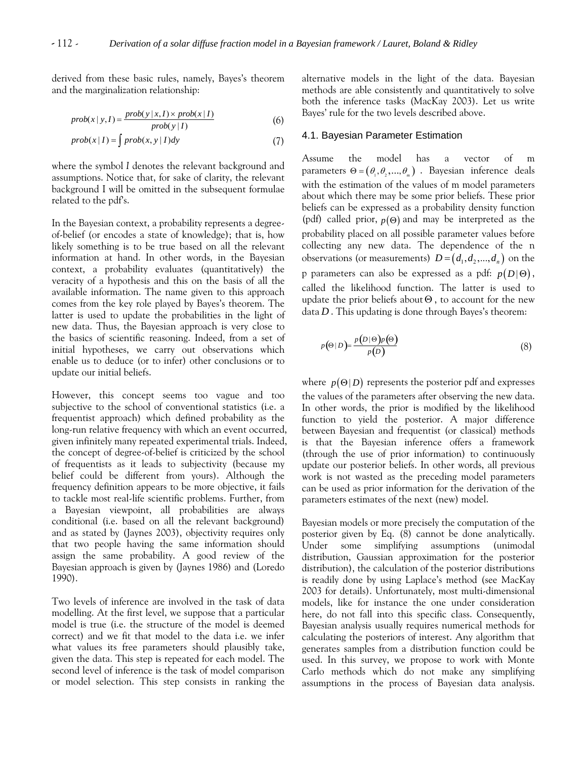derived from these basic rules, namely, Bayes's theorem and the marginalization relationship:

$$
prob(x | y, I) = \frac{prob(y | x, I) \times prob(x | I)}{prob(y | I)}
$$
(6)

$$
prob(x | I) = \int prob(x, y | I) dy
$$
 (7)

where the symbol *I* denotes the relevant background and assumptions. Notice that, for sake of clarity, the relevant background I will be omitted in the subsequent formulae related to the pdf's.

In the Bayesian context, a probability represents a degreeof-belief (or encodes a state of knowledge); that is, how likely something is to be true based on all the relevant information at hand. In other words, in the Bayesian context, a probability evaluates (quantitatively) the veracity of a hypothesis and this on the basis of all the available information. The name given to this approach comes from the key role played by Bayes's theorem. The latter is used to update the probabilities in the light of new data. Thus, the Bayesian approach is very close to the basics of scientific reasoning. Indeed, from a set of initial hypotheses, we carry out observations which enable us to deduce (or to infer) other conclusions or to update our initial beliefs.

However, this concept seems too vague and too subjective to the school of conventional statistics (i.e. a frequentist approach) which defined probability as the long-run relative frequency with which an event occurred, given infinitely many repeated experimental trials. Indeed, the concept of degree-of-belief is criticized by the school of frequentists as it leads to subjectivity (because my belief could be different from yours). Although the frequency definition appears to be more objective, it fails to tackle most real-life scientific problems. Further, from a Bayesian viewpoint, all probabilities are always conditional (i.e. based on all the relevant background) and as stated by (Jaynes 2003), objectivity requires only that two people having the same information should assign the same probability. A good review of the Bayesian approach is given by (Jaynes 1986) and (Loredo 1990).

Two levels of inference are involved in the task of data modelling. At the first level, we suppose that a particular model is true (i.e. the structure of the model is deemed correct) and we fit that model to the data i.e. we infer what values its free parameters should plausibly take, given the data. This step is repeated for each model. The second level of inference is the task of model comparison or model selection. This step consists in ranking the alternative models in the light of the data. Bayesian methods are able consistently and quantitatively to solve both the inference tasks (MacKay 2003). Let us write Bayes' rule for the two levels described above.

#### 4.1. Bayesian Parameter Estimation

Assume the model has a vector of m parameters  $\Theta = (\theta_1, \theta_2, ..., \theta_n)$ . Bayesian inference deals with the estimation of the values of m model parameters about which there may be some prior beliefs. These prior beliefs can be expressed as a probability density function (pdf) called prior,  $p(\Theta)$  and may be interpreted as the probability placed on all possible parameter values before collecting any new data. The dependence of the n observations (or measurements)  $D = (d_1, d_2, ..., d_n)$  on the p parameters can also be expressed as a pdf:  $p(D | \Theta)$ , called the likelihood function. The latter is used to update the prior beliefs about  $\Theta$ , to account for the new data *D* . This updating is done through Bayes's theorem:

$$
p(\Theta|D) = \frac{p(D|\Theta)p(\Theta)}{p(D)}
$$
\n(8)

where  $p(\Theta | D)$  represents the posterior pdf and expresses the values of the parameters after observing the new data. In other words, the prior is modified by the likelihood function to yield the posterior. A major difference between Bayesian and frequentist (or classical) methods is that the Bayesian inference offers a framework (through the use of prior information) to continuously update our posterior beliefs. In other words, all previous work is not wasted as the preceding model parameters can be used as prior information for the derivation of the parameters estimates of the next (new) model.

Bayesian models or more precisely the computation of the posterior given by Eq. (8) cannot be done analytically. Under some simplifying assumptions (unimodal distribution, Gaussian approximation for the posterior distribution), the calculation of the posterior distributions is readily done by using Laplace's method (see MacKay 2003 for details). Unfortunately, most multi-dimensional models, like for instance the one under consideration here, do not fall into this specific class. Consequently, Bayesian analysis usually requires numerical methods for calculating the posteriors of interest. Any algorithm that generates samples from a distribution function could be used. In this survey, we propose to work with Monte Carlo methods which do not make any simplifying assumptions in the process of Bayesian data analysis.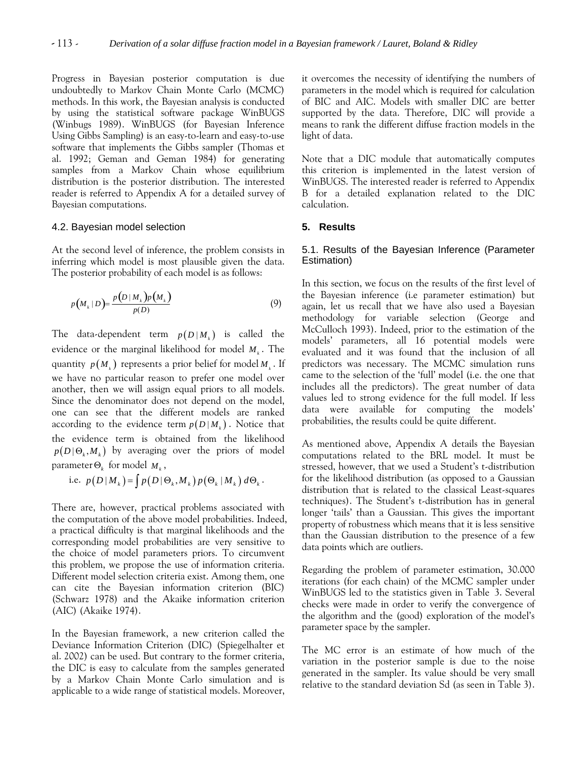Progress in Bayesian posterior computation is due undoubtedly to Markov Chain Monte Carlo (MCMC) methods. In this work, the Bayesian analysis is conducted by using the statistical software package WinBUGS (Winbugs 1989). WinBUGS (for Bayesian Inference Using Gibbs Sampling) is an easy-to-learn and easy-to-use software that implements the Gibbs sampler (Thomas et al. 1992; Geman and Geman 1984) for generating samples from a Markov Chain whose equilibrium distribution is the posterior distribution. The interested reader is referred to Appendix A for a detailed survey of Bayesian computations.

#### 4.2. Bayesian model selection

At the second level of inference, the problem consists in inferring which model is most plausible given the data. The posterior probability of each model is as follows:

$$
p\big(M_k|D\big) = \frac{p\big(D|M_k\big)p\big(M_k\big)}{p(D)}\tag{9}
$$

The data-dependent term  $p(D|M_k)$  is called the evidence or the marginal likelihood for model  $M_k$ . The quantity  $p(M_i)$  represents a prior belief for model  $M_i$ . If we have no particular reason to prefer one model over another, then we will assign equal priors to all models. Since the denominator does not depend on the model, one can see that the different models are ranked according to the evidence term  $p(D|M_i)$ . Notice that the evidence term is obtained from the likelihood  $p(D | \Theta_k, M_k)$  by averaging over the priors of model  $\mathsf{parameter} \, \Theta_k$  for model  $M_k$ ,

i.e. 
$$
p(D|M_k) = \int p(D|\Theta_k, M_k) p(\Theta_k|M_k) d\Theta_k
$$
.

There are, however, practical problems associated with the computation of the above model probabilities. Indeed, a practical difficulty is that marginal likelihoods and the corresponding model probabilities are very sensitive to the choice of model parameters priors. To circumvent this problem, we propose the use of information criteria. Different model selection criteria exist. Among them, one can cite the Bayesian information criterion (BIC) (Schwarz 1978) and the Akaike information criterion (AIC) (Akaike 1974).

In the Bayesian framework, a new criterion called the Deviance Information Criterion (DIC) (Spiegelhalter et al. 2002) can be used. But contrary to the former criteria, the DIC is easy to calculate from the samples generated by a Markov Chain Monte Carlo simulation and is applicable to a wide range of statistical models. Moreover, it overcomes the necessity of identifying the numbers of parameters in the model which is required for calculation of BIC and AIC. Models with smaller DIC are better supported by the data. Therefore, DIC will provide a means to rank the different diffuse fraction models in the light of data.

Note that a DIC module that automatically computes this criterion is implemented in the latest version of WinBUGS. The interested reader is referred to Appendix B for a detailed explanation related to the DIC calculation.

#### **5. Results**

# 5.1. Results of the Bayesian Inference (Parameter Estimation)

In this section, we focus on the results of the first level of the Bayesian inference (i.e parameter estimation) but again, let us recall that we have also used a Bayesian methodology for variable selection (George and McCulloch 1993). Indeed, prior to the estimation of the models' parameters, all 16 potential models were evaluated and it was found that the inclusion of all predictors was necessary. The MCMC simulation runs came to the selection of the 'full' model (i.e. the one that includes all the predictors). The great number of data values led to strong evidence for the full model. If less data were available for computing the models' probabilities, the results could be quite different.

As mentioned above, Appendix A details the Bayesian computations related to the BRL model. It must be stressed, however, that we used a Student's t-distribution for the likelihood distribution (as opposed to a Gaussian distribution that is related to the classical Least-squares techniques). The Student's t-distribution has in general longer 'tails' than a Gaussian. This gives the important property of robustness which means that it is less sensitive than the Gaussian distribution to the presence of a few data points which are outliers.

Regarding the problem of parameter estimation, 30.000 iterations (for each chain) of the MCMC sampler under WinBUGS led to the statistics given in Table 3. Several checks were made in order to verify the convergence of the algorithm and the (good) exploration of the model's parameter space by the sampler.

The MC error is an estimate of how much of the variation in the posterior sample is due to the noise generated in the sampler. Its value should be very small relative to the standard deviation Sd (as seen in Table 3).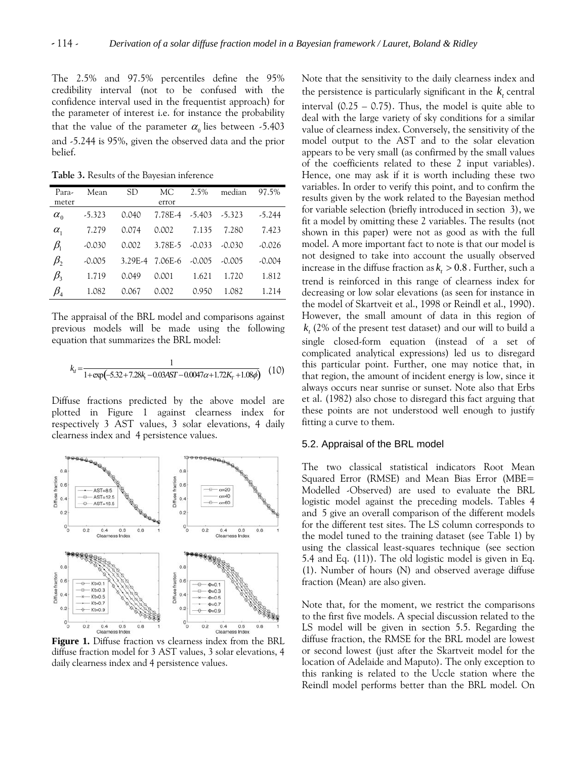The 2.5% and 97.5% percentiles define the 95% credibility interval (not to be confused with the confidence interval used in the frequentist approach) for the parameter of interest i.e. for instance the probability that the value of the parameter  $\alpha_0$  lies between -5.403 and -5.244 is 95%, given the observed data and the prior belief.

**Table 3.** Results of the Bayesian inference

| Para-                          | Mean     | SD.   | MС              | $2.5\%$       | median   | 97.5%    |
|--------------------------------|----------|-------|-----------------|---------------|----------|----------|
| meter                          |          |       | error           |               |          |          |
| $\alpha_{0}$                   | $-5.323$ | 0.040 | 7.78E-4         | -5.403 -5.323 |          | $-5.244$ |
| $\alpha_{1}$                   | 7.279    | 0.074 | 0.002           | 7.135         | 7.280    | 7.423    |
| $\beta_1$                      | $-0.030$ | 0.002 | 3.78E-5         | $-0.033$      | $-0.030$ | $-0.026$ |
| $\beta$                        | $-0.005$ |       | 3.29E-4 7.06E-6 | -0.005        | $-0.005$ | $-0.004$ |
| $\beta_{3}$                    | 1.719    | 0.049 | 0.001           | 1.621         | 1.720    | 1.812    |
| $\beta_{\scriptscriptstyle 4}$ | 1.082    | 0.067 | 0.002           | 0.950         | 1.082    | 1.214    |

The appraisal of the BRL model and comparisons against previous models will be made using the following equation that summarizes the BRL model:

$$
k_d = \frac{1}{1 + \exp(-5.32 + 7.28k_r - 0.03AST - 0.0047\alpha + 1.72K_r + 1.08\phi)}
$$
(10)

Diffuse fractions predicted by the above model are plotted in Figure 1 against clearness index for respectively 3 AST values, 3 solar elevations, 4 daily clearness index and 4 persistence values. 5.2. Appraisal of the BRL model



**Figure 1.** Diffuse fraction vs clearness index from the BRL diffuse fraction model for 3 AST values, 3 solar elevations, 4 daily clearness index and 4 persistence values.

Note that the sensitivity to the daily clearness index and the persistence is particularly significant in the  $k_t$  central interval  $(0.25 - 0.75)$ . Thus, the model is quite able to deal with the large variety of sky conditions for a similar value of clearness index. Conversely, the sensitivity of the model output to the AST and to the solar elevation appears to be very small (as confirmed by the small values of the coefficients related to these 2 input variables). Hence, one may ask if it is worth including these two variables. In order to verify this point, and to confirm the results given by the work related to the Bayesian method for variable selection (briefly introduced in section 3), we fit a model by omitting these 2 variables. The results (not shown in this paper) were not as good as with the full model. A more important fact to note is that our model is not designed to take into account the usually observed increase in the diffuse fraction as  $k_t > 0.8$  . Further, such a trend is reinforced in this range of clearness index for decreasing or low solar elevations (as seen for instance in the model of Skartveit et al., 1998 or Reindl et al., 1990). However, the small amount of data in this region of  $k_{t}$  (2% of the present test dataset) and our will to build a single closed-form equation (instead of a set of complicated analytical expressions) led us to disregard this particular point. Further, one may notice that, in that region, the amount of incident energy is low, since it always occurs near sunrise or sunset. Note also that Erbs et al. (1982) also chose to disregard this fact arguing that these points are not understood well enough to justify fitting a curve to them.

The two classical statistical indicators Root Mean Squared Error (RMSE) and Mean Bias Error (MBE= Modelled -Observed) are used to evaluate the BRL logistic model against the preceding models. Tables 4 and 5 give an overall comparison of the different models for the different test sites. The LS column corresponds to the model tuned to the training dataset (see Table 1) by using the classical least-squares technique (see section 5.4 and Eq. (11)). The old logistic model is given in Eq. (1). Number of hours (N) and observed average diffuse fraction (Mean) are also given.

Note that, for the moment, we restrict the comparisons to the first five models. A special discussion related to the LS model will be given in section 5.5. Regarding the diffuse fraction, the RMSE for the BRL model are lowest or second lowest (just after the Skartveit model for the location of Adelaide and Maputo). The only exception to this ranking is related to the Uccle station where the Reindl model performs better than the BRL model. On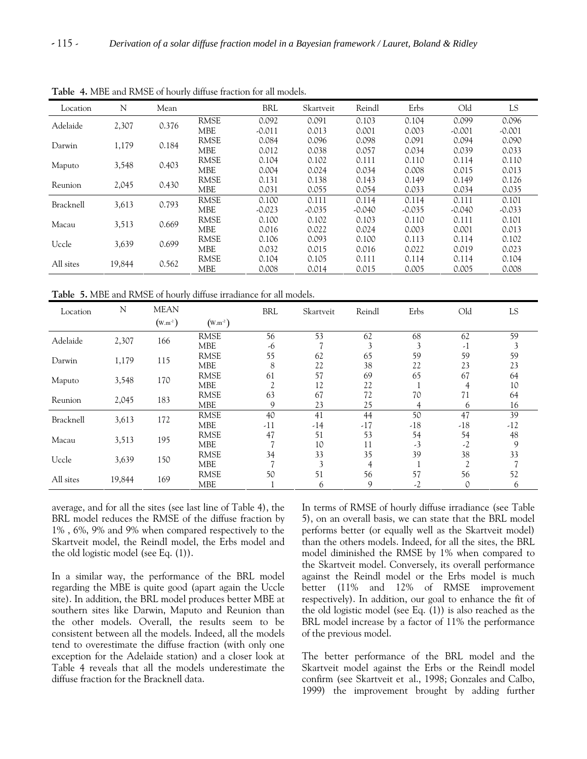| Location  | N      | Mean       |             | <b>BRL</b>     | Skartveit | Reindl      | Erbs     | Old      | LS.      |       |       |       |
|-----------|--------|------------|-------------|----------------|-----------|-------------|----------|----------|----------|-------|-------|-------|
|           |        |            | <b>RMSE</b> | 0.092          | 0.091     | 0.103       | 0.104    | 0.099    | 0.096    |       |       |       |
| Adelaide  | 2,307  | 0.376      | MBE         | $-0.011$       | 0.013     | 0.001       | 0.003    | $-0.001$ | $-0.001$ |       |       |       |
| Darwin    |        |            | <b>RMSE</b> | 0.084          | 0.096     | 0.098       | 0.091    | 0.094    | 0.090    |       |       |       |
|           | 1,179  | 0.184      | <b>MBE</b>  | 0.012          | 0.038     | 0.057       | 0.034    | 0.039    | 0.033    |       |       |       |
|           |        | 0.403      | <b>RMSE</b> | 0.104          | 0.102     | 0.111       | 0.110    | 0.114    | 0.110    |       |       |       |
| Maputo    | 3,548  |            | <b>MBE</b>  | 0.004          | 0.024     | 0.034       | 0.008    | 0.015    | 0.013    |       |       |       |
| Reunion   |        | 0.430      | RMSE        | 0.131          | 0.138     | 0.143       | 0.149    | 0.149    | 0.126    |       |       |       |
| 2,045     |        | <b>MBE</b> | 0.031       | 0.055          | 0.054     | 0.033       | 0.034    | 0.035    |          |       |       |       |
| Bracknell |        |            |             | 3,613<br>0.793 |           | <b>RMSE</b> | 0.100    | 0.111    | 0.114    | 0.114 | 0.111 | 0.101 |
|           |        |            | <b>MBE</b>  | $-0.023$       | $-0.035$  | $-0.040$    | $-0.035$ | $-0.040$ | $-0.033$ |       |       |       |
| Macau     | 3,513  | 0.669      | <b>RMSE</b> | 0.100          | 0.102     | 0.103       | 0.110    | 0.111    | 0.101    |       |       |       |
|           |        |            | <b>MBE</b>  | 0.016          | 0.022     | 0.024       | 0.003    | 0.001    | 0.013    |       |       |       |
| Uccle     |        | 0.699      | <b>RMSE</b> | 0.106          | 0.093     | 0.100       | 0.113    | 0.114    | 0.102    |       |       |       |
| 3,639     |        | <b>MBE</b> | 0.032       | 0.015          | 0.016     | 0.022       | 0.019    | 0.023    |          |       |       |       |
|           | 19,844 | 0.562      | <b>RMSE</b> | 0.104          | 0.105     | 0.111       | 0.114    | 0.114    | 0.104    |       |       |       |
| All sites |        |            | <b>MBE</b>  | 0.008          | 0.014     | 0.015       | 0.005    | 0.005    | 0.008    |       |       |       |

**Table 4.** MBE and RMSE of hourly diffuse fraction for all models.

**Table 5.** MBE and RMSE of hourly diffuse irradiance for all models.

| Location  | N      | <b>MEAN</b> |             | <b>BRL</b>     | Skartveit  | Reindl | Erbs  | Old            | LS    |    |    |
|-----------|--------|-------------|-------------|----------------|------------|--------|-------|----------------|-------|----|----|
|           |        | $(W.m-2)$   | $(W.m-2)$   |                |            |        |       |                |       |    |    |
| Adelaide  | 2,307  | 166         | <b>RMSE</b> | 56             | 53         | 62     | 68    | 62             | 59    |    |    |
|           |        |             | <b>MBE</b>  | -6             |            | 3      | 3     | $-1$           |       |    |    |
| Darwin    | 1,179  | 115         | <b>RMSE</b> | 55             | 62         | 65     | 59    | 59             | 59    |    |    |
|           |        |             | <b>MBE</b>  | 8              | 22         | 38     | 22    | 23             | 23    |    |    |
| Maputo    |        |             | 170         | <b>RMSE</b>    | 61         | 57     | 69    | 65             | 67    | 64 |    |
|           | 3,548  |             | <b>MBE</b>  | $\overline{2}$ | 12         | 22     |       | 4              | 10    |    |    |
|           | 2,045  |             |             | 183            | RMSE       | 63     | 67    | 72             | 70    | 71 | 64 |
| Reunion   |        |             | <b>MBE</b>  | 9              | 23         | 25     | 4     | 6              | 16    |    |    |
| Bracknell | 3,613  | 172         | <b>RMSE</b> | 40             | 41         | 44     | 50    | 47             | 39    |    |    |
|           |        |             | <b>MBE</b>  | $-11$          | $-14$      | $-17$  | $-18$ | $-18$          | $-12$ |    |    |
| Macau     | 3,513  | 195         | <b>RMSE</b> | 47             | 51         | 53     | 54    | 54             | 48    |    |    |
|           |        |             | <b>MBE</b>  | $\overline{ }$ | 10         | 11     | $-3$  | $-2$           | 9     |    |    |
| Uccle     |        | 150         | <b>RMSE</b> | 34             | 33         | 35     | 39    | 38             | 33    |    |    |
|           | 3,639  |             | <b>MBE</b>  | $\overline{7}$ | 3          | 4      |       | $\overline{c}$ |       |    |    |
|           |        |             | <b>RMSE</b> | 50             | 51         | 56     | 57    | 56             | 52    |    |    |
| All sites | 19,844 |             |             | 169            | <b>MBE</b> |        | 6     | 9              | $-2$  | 0  | 6  |

average, and for all the sites (see last line of Table 4), the BRL model reduces the RMSE of the diffuse fraction by 1% , 6%, 9% and 9% when compared respectively to the Skartveit model, the Reindl model, the Erbs model and the old logistic model (see Eq. (1)).

In a similar way, the performance of the BRL model regarding the MBE is quite good (apart again the Uccle site). In addition, the BRL model produces better MBE at southern sites like Darwin, Maputo and Reunion than the other models. Overall, the results seem to be consistent between all the models. Indeed, all the models tend to overestimate the diffuse fraction (with only one exception for the Adelaide station) and a closer look at Table 4 reveals that all the models underestimate the diffuse fraction for the Bracknell data.

In terms of RMSE of hourly diffuse irradiance (see Table 5), on an overall basis, we can state that the BRL model performs better (or equally well as the Skartveit model) than the others models. Indeed, for all the sites, the BRL model diminished the RMSE by 1% when compared to the Skartveit model. Conversely, its overall performance against the Reindl model or the Erbs model is much better (11% and 12% of RMSE improvement respectively). In addition, our goal to enhance the fit of the old logistic model (see Eq. (1)) is also reached as the BRL model increase by a factor of 11% the performance of the previous model.

The better performance of the BRL model and the Skartveit model against the Erbs or the Reindl model confirm (see Skartveit et al., 1998; Gonzales and Calbo, 1999) the improvement brought by adding further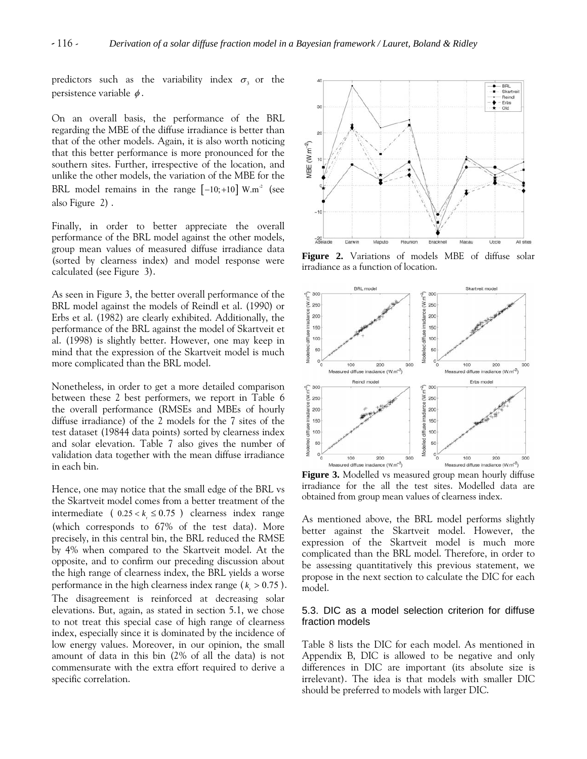predictors such as the variability index  $\sigma_3$  or the persistence variable  $\phi$ .

On an overall basis, the performance of the BRL regarding the MBE of the diffuse irradiance is better than that of the other models. Again, it is also worth noticing that this better performance is more pronounced for the southern sites. Further, irrespective of the location, and unlike the other models, the variation of the MBE for the BRL model remains in the range  $[-10; +10]$  W.m<sup>2</sup> (see also Figure 2) .

Finally, in order to better appreciate the overall performance of the BRL model against the other models, group mean values of measured diffuse irradiance data (sorted by clearness index) and model response were calculated (see Figure 3).

As seen in Figure 3, the better overall performance of the BRL model against the models of Reindl et al. (1990) or Erbs et al. (1982) are clearly exhibited. Additionally, the performance of the BRL against the model of Skartveit et al. (1998) is slightly better. However, one may keep in mind that the expression of the Skartveit model is much more complicated than the BRL model.

Nonetheless, in order to get a more detailed comparison between these 2 best performers, we report in Table 6 the overall performance (RMSEs and MBEs of hourly diffuse irradiance) of the 2 models for the 7 sites of the test dataset (19844 data points) sorted by clearness index and solar elevation. Table 7 also gives the number of validation data together with the mean diffuse irradiance in each bin.

Hence, one may notice that the small edge of the BRL vs the Skartveit model comes from a better treatment of the intermediate (  $0.25 < k f \leq 0.75$  ) clearness index range (which corresponds to 67% of the test data). More precisely, in this central bin, the BRL reduced the RMSE by 4% when compared to the Skartveit model. At the opposite, and to confirm our preceding discussion about the high range of clearness index, the BRL yields a worse performance in the high clearness index range ( $k > 0.75$ ).

The disagreement is reinforced at decreasing solar elevations. But, again, as stated in section 5.1, we chose to not treat this special case of high range of clearness index, especially since it is dominated by the incidence of low energy values. Moreover, in our opinion, the small amount of data in this bin (2% of all the data) is not commensurate with the extra effort required to derive a specific correlation.



**Figure 2.** Variations of models MBE of diffuse solar irradiance as a function of location.



**Figure 3.** Modelled vs measured group mean hourly diffuse irradiance for the all the test sites. Modelled data are obtained from group mean values of clearness index.

As mentioned above, the BRL model performs slightly better against the Skartveit model. However, the expression of the Skartveit model is much more complicated than the BRL model. Therefore, in order to be assessing quantitatively this previous statement, we propose in the next section to calculate the DIC for each model.

# 5.3. DIC as a model selection criterion for diffuse fraction models

Table 8 lists the DIC for each model. As mentioned in Appendix B, DIC is allowed to be negative and only differences in DIC are important (its absolute size is irrelevant). The idea is that models with smaller DIC should be preferred to models with larger DIC.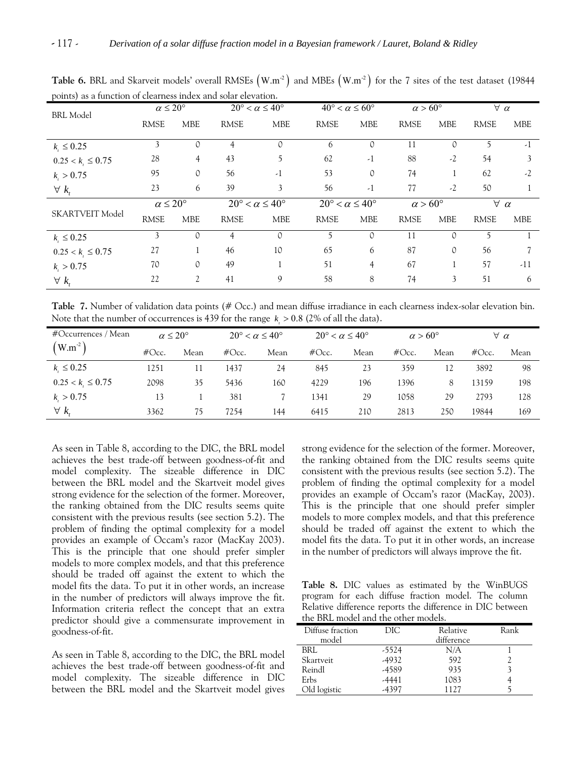| $F^{\text{univ}}$ as a range<br><b>BRL</b> Model | $\alpha \leq 20^{\circ}$ |                |                                       | $20^{\circ} < \alpha \leq 40^{\circ}$ | $40^{\circ} < \alpha \leq 60^{\circ}$ |                | $\alpha > 60^{\circ}$ |               | $\forall \alpha$ |            |
|--------------------------------------------------|--------------------------|----------------|---------------------------------------|---------------------------------------|---------------------------------------|----------------|-----------------------|---------------|------------------|------------|
|                                                  | <b>RMSE</b>              | <b>MBE</b>     | <b>RMSE</b>                           | <b>MBE</b>                            | <b>RMSE</b>                           | <b>MBE</b>     | <b>RMSE</b>           | <b>MBE</b>    | <b>RMSE</b>      | <b>MBE</b> |
| $k_{i} \leq 0.25$                                | 3                        | 0              | 4                                     | 0                                     | 6                                     | 0              | 11                    | 0             | 5                | $-1$       |
| $0.25 < k_{i} \leq 0.75$                         | 28                       | $\overline{4}$ | 43                                    | 5                                     | 62                                    | $-1$           | 88                    | $-2$          | 54               | 3          |
| $k_{i} > 0.75$                                   | 95                       | 0              | 56                                    | $-1$                                  | 53                                    | 0              | 74                    |               | 62               | $-2$       |
| $\forall k_{t}$                                  | 23                       | 6              | 39                                    | 3                                     | 56                                    | $-1$           | 77                    | $-2$          | 50               |            |
|                                                  | $\alpha \leq 20^{\circ}$ |                | $20^{\circ} < \alpha \leq 40^{\circ}$ |                                       | $20^{\circ} < \alpha \leq 40^{\circ}$ |                | $\alpha$ > 60°        |               | $\forall \alpha$ |            |
| SKARTVEIT Model                                  | <b>RMSE</b>              | <b>MBE</b>     | <b>RMSE</b>                           | <b>MBE</b>                            | <b>RMSE</b>                           | <b>MBE</b>     | <b>RMSE</b>           | <b>MBE</b>    | <b>RMSE</b>      | <b>MBE</b> |
| $k_{i} \leq 0.25$                                | 3                        | $\mathcal{O}$  | 4                                     | 0                                     | 5                                     | $\Omega$       | 11                    | $\mathcal{O}$ | 5                |            |
| $0.25 < k_{\iota} \leq 0.75$                     | 27                       |                | 46                                    | 10                                    | 65                                    | 6              | 87                    | 0             | 56               |            |
| $k_{i} > 0.75$                                   | 70                       | $\mathcal{O}$  | 49                                    |                                       | 51                                    | $\overline{4}$ | 67                    |               | 57               | $-11$      |
| $\forall k_{i}$                                  | 22                       | 2              | 41                                    | 9                                     | 58                                    | 8              | 74                    | 3             | 51               | 6          |

**Table 6.** BRL and Skarveit models' overall RMSEs  $(W.m^{-2})$  and MBEs  $(W.m^{-2})$  for the 7 sites of the test dataset (19844) points) as a function of clearness index and solar elevation.

**Table 7.** Number of validation data points (# Occ.) and mean diffuse irradiance in each clearness index-solar elevation bin. Note that the number of occurrences is 439 for the range  $k > 0.8$  (2% of all the data).

| #Occurrences / Mean          | $\alpha \leq 20^{\circ}$ |      | $20^{\circ} < \alpha \leq 40^{\circ}$ |      | $20^{\circ} < \alpha \leq 40^{\circ}$ |      | $\alpha > 60^{\circ}$ |      | $\forall \alpha$ |      |
|------------------------------|--------------------------|------|---------------------------------------|------|---------------------------------------|------|-----------------------|------|------------------|------|
| $(W.m^{-2})$                 | $\#Occ.$                 | Mean | $\#Occ.$                              | Mean | $\#Occ.$                              | Mean | $\#$ Occ.             | Mean | $\#$ Occ.        | Mean |
| $k_{\perp} \leq 0.25$        | 1251                     | 11   | 1437                                  | 24   | 845                                   | 23   | 359                   | 12   | 3892             | 98   |
| $0.25 < k_{\perp} \leq 0.75$ | 2098                     | 35   | 5436                                  | 160  | 4229                                  | 196  | 396                   | 8    | 13159            | 198  |
| k > 0.75                     | 13                       |      | 381                                   |      | 1341                                  | 29   | 1058                  | 29   | 2793             | 128  |
| $\forall k_{i}$              | 3362                     | 75   | 7254                                  | 144  | 6415                                  | 210  | 2813                  | 250  | 19844            | 169  |

As seen in Table 8, according to the DIC, the BRL model achieves the best trade-off between goodness-of-fit and model complexity. The sizeable difference in DIC between the BRL model and the Skartveit model gives strong evidence for the selection of the former. Moreover, the ranking obtained from the DIC results seems quite consistent with the previous results (see section 5.2). The problem of finding the optimal complexity for a model provides an example of Occam's razor (MacKay 2003). This is the principle that one should prefer simpler models to more complex models, and that this preference should be traded off against the extent to which the model fits the data. To put it in other words, an increase in the number of predictors will always improve the fit. Information criteria reflect the concept that an extra predictor should give a commensurate improvement in goodness-of-fit.

As seen in Table 8, according to the DIC, the BRL model achieves the best trade-off between goodness-of-fit and model complexity. The sizeable difference in DIC between the BRL model and the Skartveit model gives strong evidence for the selection of the former. Moreover, the ranking obtained from the DIC results seems quite consistent with the previous results (see section 5.2). The problem of finding the optimal complexity for a model provides an example of Occam's razor (MacKay, 2003). This is the principle that one should prefer simpler models to more complex models, and that this preference should be traded off against the extent to which the model fits the data. To put it in other words, an increase in the number of predictors will always improve the fit.

**Table 8.** DIC values as estimated by the WinBUGS program for each diffuse fraction model. The column Relative difference reports the difference in DIC between the BRL model and the other models.

| Diffuse fraction | DIC.  | Relative   | Rank |  |  |  |  |
|------------------|-------|------------|------|--|--|--|--|
| model            |       | difference |      |  |  |  |  |
| BRL              | -5524 | N/A        |      |  |  |  |  |
| Skartveit        | -4932 | 592        |      |  |  |  |  |
| Reindl           | -4589 | 935        |      |  |  |  |  |
| Erbs             | -4441 | 1083       |      |  |  |  |  |
| Old logistic     | 4397  | 112.7      |      |  |  |  |  |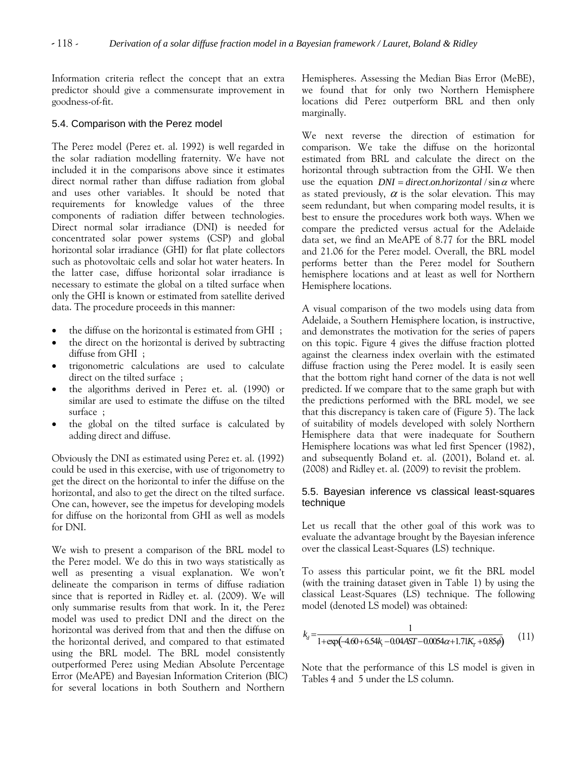Information criteria reflect the concept that an extra predictor should give a commensurate improvement in goodness-of-fit.

#### 5.4. Comparison with the Perez model

The Perez model (Perez et. al. 1992) is well regarded in the solar radiation modelling fraternity. We have not included it in the comparisons above since it estimates direct normal rather than diffuse radiation from global and uses other variables. It should be noted that requirements for knowledge values of the three components of radiation differ between technologies. Direct normal solar irradiance (DNI) is needed for concentrated solar power systems (CSP) and global horizontal solar irradiance (GHI) for flat plate collectors such as photovoltaic cells and solar hot water heaters. In the latter case, diffuse horizontal solar irradiance is necessary to estimate the global on a tilted surface when only the GHI is known or estimated from satellite derived data. The procedure proceeds in this manner:

- the diffuse on the horizontal is estimated from GHI ;
- the direct on the horizontal is derived by subtracting diffuse from GHI ;
- trigonometric calculations are used to calculate direct on the tilted surface ;
- the algorithms derived in Perez et. al. (1990) or similar are used to estimate the diffuse on the tilted surface ;
- the global on the tilted surface is calculated by adding direct and diffuse.

Obviously the DNI as estimated using Perez et. al. (1992) could be used in this exercise, with use of trigonometry to get the direct on the horizontal to infer the diffuse on the horizontal, and also to get the direct on the tilted surface. One can, however, see the impetus for developing models for diffuse on the horizontal from GHI as well as models for DNI.

We wish to present a comparison of the BRL model to the Perez model. We do this in two ways statistically as well as presenting a visual explanation. We won't delineate the comparison in terms of diffuse radiation since that is reported in Ridley et. al. (2009). We will only summarise results from that work. In it, the Perez model was used to predict DNI and the direct on the horizontal was derived from that and then the diffuse on the horizontal derived, and compared to that estimated using the BRL model. The BRL model consistently outperformed Perez using Median Absolute Percentage Error (MeAPE) and Bayesian Information Criterion (BIC) for several locations in both Southern and Northern

Hemispheres. Assessing the Median Bias Error (MeBE), we found that for only two Northern Hemisphere locations did Perez outperform BRL and then only marginally.

We next reverse the direction of estimation for comparison. We take the diffuse on the horizontal estimated from BRL and calculate the direct on the horizontal through subtraction from the GHI. We then use the equation  $DNI = direct on . horizontal / sin \alpha$  where as stated previously,  $\alpha$  is the solar elevation. This may seem redundant, but when comparing model results, it is best to ensure the procedures work both ways. When we compare the predicted versus actual for the Adelaide data set, we find an MeAPE of 8.77 for the BRL model and 21.06 for the Perez model. Overall, the BRL model performs better than the Perez model for Southern hemisphere locations and at least as well for Northern Hemisphere locations.

A visual comparison of the two models using data from Adelaide, a Southern Hemisphere location, is instructive, and demonstrates the motivation for the series of papers on this topic. Figure 4 gives the diffuse fraction plotted against the clearness index overlain with the estimated diffuse fraction using the Perez model. It is easily seen that the bottom right hand corner of the data is not well predicted. If we compare that to the same graph but with the predictions performed with the BRL model, we see that this discrepancy is taken care of (Figure 5). The lack of suitability of models developed with solely Northern Hemisphere data that were inadequate for Southern Hemisphere locations was what led first Spencer (1982), and subsequently Boland et. al. (2001), Boland et. al. (2008) and Ridley et. al. (2009) to revisit the problem.

# 5.5. Bayesian inference vs classical least-squares technique

Let us recall that the other goal of this work was to evaluate the advantage brought by the Bayesian inference over the classical Least-Squares (LS) technique.

To assess this particular point, we fit the BRL model (with the training dataset given in Table 1) by using the classical Least-Squares (LS) technique. The following model (denoted LS model) was obtained:

$$
k_d = \frac{1}{1 + \exp(-4.60 + 6.54k_f - 0.04AST - 0.0054\alpha + 1.71K_f + 0.85\phi)}
$$
(11)

Note that the performance of this LS model is given in Tables 4 and 5 under the LS column.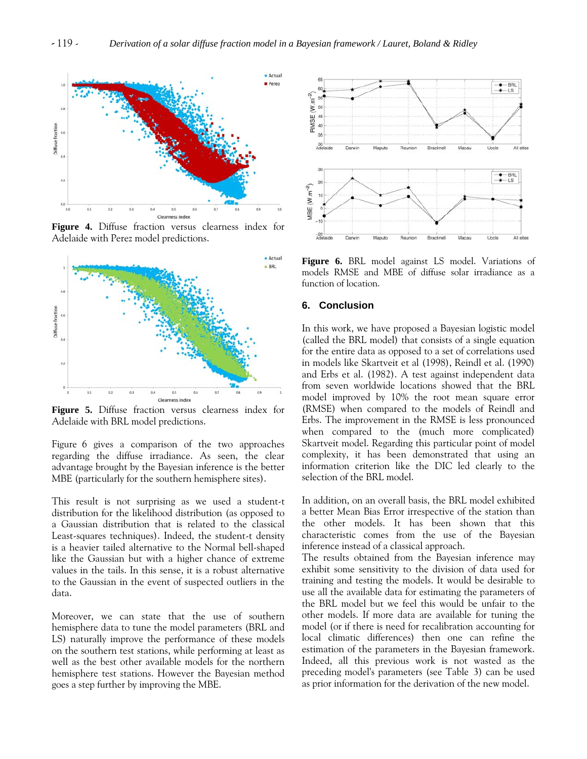

**Figure 4.** Diffuse fraction versus clearness index for Adelaide with Perez model predictions.



**Figure 5.** Diffuse fraction versus clearness index for Adelaide with BRL model predictions.

Figure 6 gives a comparison of the two approaches regarding the diffuse irradiance. As seen, the clear advantage brought by the Bayesian inference is the better MBE (particularly for the southern hemisphere sites).

This result is not surprising as we used a student-t distribution for the likelihood distribution (as opposed to a Gaussian distribution that is related to the classical Least-squares techniques). Indeed, the student-t density is a heavier tailed alternative to the Normal bell-shaped like the Gaussian but with a higher chance of extreme values in the tails. In this sense, it is a robust alternative to the Gaussian in the event of suspected outliers in the data.

Moreover, we can state that the use of southern hemisphere data to tune the model parameters (BRL and LS) naturally improve the performance of these models on the southern test stations, while performing at least as well as the best other available models for the northern hemisphere test stations. However the Bayesian method goes a step further by improving the MBE.



**Figure 6.** BRL model against LS model. Variations of models RMSE and MBE of diffuse solar irradiance as a function of location.

# **6. Conclusion**

In this work, we have proposed a Bayesian logistic model (called the BRL model) that consists of a single equation for the entire data as opposed to a set of correlations used in models like Skartveit et al (1998), Reindl et al. (1990) and Erbs et al. (1982). A test against independent data from seven worldwide locations showed that the BRL model improved by 10% the root mean square error (RMSE) when compared to the models of Reindl and Erbs. The improvement in the RMSE is less pronounced when compared to the (much more complicated) Skartveit model. Regarding this particular point of model complexity, it has been demonstrated that using an information criterion like the DIC led clearly to the selection of the BRL model.

In addition, on an overall basis, the BRL model exhibited a better Mean Bias Error irrespective of the station than the other models. It has been shown that this characteristic comes from the use of the Bayesian inference instead of a classical approach.

The results obtained from the Bayesian inference may exhibit some sensitivity to the division of data used for training and testing the models. It would be desirable to use all the available data for estimating the parameters of the BRL model but we feel this would be unfair to the other models. If more data are available for tuning the model (or if there is need for recalibration accounting for local climatic differences) then one can refine the estimation of the parameters in the Bayesian framework. Indeed, all this previous work is not wasted as the preceding model's parameters (see Table 3) can be used as prior information for the derivation of the new model.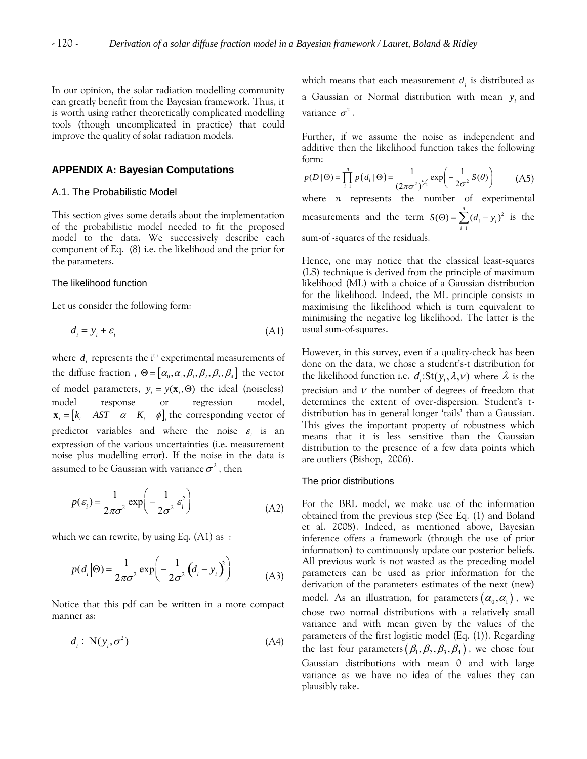In our opinion, the solar radiation modelling community can greatly benefit from the Bayesian framework. Thus, it is worth using rather theoretically complicated modelling tools (though uncomplicated in practice) that could improve the quality of solar radiation models.

# **APPENDIX A: Bayesian Computations**

#### A.1. The Probabilistic Model

This section gives some details about the implementation of the probabilistic model needed to fit the proposed model to the data. We successively describe each component of Eq. (8) i.e. the likelihood and the prior for the parameters.

#### The likelihood function

Let us consider the following form:

$$
d_i = y_i + \varepsilon_i \tag{A1}
$$

where  $d_i$  represents the i<sup>th</sup> experimental measurements of the diffuse fraction,  $\Theta = [\alpha_0, \alpha_1, \beta_1, \beta_2, \beta_3, \beta_4]$  the vector of model parameters,  $y_i = y(\mathbf{x}_i, \Theta)$  the ideal (noiseless)  $\mathbf{x}_i = [k_i \quad AST \quad \alpha \quad K_i \quad \phi]_i$  the corresponding vector of model response or regression model, predictor variables and where the noise  $\varepsilon$  is an expression of the various uncertainties (i.e. measurement noise plus modelling error). If the noise in the data is assumed to be Gaussian with variance  $\sigma^2$ , then

$$
p(\varepsilon_i) = \frac{1}{2\pi\sigma^2} \exp\left(-\frac{1}{2\sigma^2} \varepsilon_i^2\right)
$$
 (A2)

which we can rewrite, by using Eq. (A1) as :

$$
p(d_i|\Theta) = \frac{1}{2\pi\sigma^2} \exp\left(-\frac{1}{2\sigma^2} (d_i - y_i)^2\right)
$$
 (A3)

Notice that this pdf can be written in a more compact manner as:

$$
d_i: \mathcal{N}(y_i, \sigma^2) \tag{A4}
$$

which means that each measurement  $d_i$  is distributed as a Gaussian or Normal distribution with mean  $y_i$  and variance  $\sigma^2$ .

Further, if we assume the noise as independent and additive then the likelihood function takes the following form:

$$
p(D \mid \Theta) = \prod_{i=1}^{n} p(d_i \mid \Theta) = \frac{1}{(2\pi\sigma^2)^{\frac{n}{2}}} \exp\left(-\frac{1}{2\sigma^2} S(\theta)\right)
$$
 (A5)

where *n* represents the number of experimental measurements and the term  $S(\Theta) = \sum (d_i - y_i)^2$  is the sum-of -squares of the residuals. 1  $(\Theta) = \sum_{i=1}^{n} (d_i - y_i)$  $\sum_{i=1}$   $\binom{u_i}{i}$  $S(\Theta) = \sum_{i} (d_i$  $\Theta$ ) =  $\sum_{i=1}^{\infty} (d_i - y)$ 

Hence, one may notice that the classical least-squares (LS) technique is derived from the principle of maximum likelihood (ML) with a choice of a Gaussian distribution for the likelihood. Indeed, the ML principle consists in maximising the likelihood which is turn equivalent to minimising the negative log likelihood. The latter is the usual sum-of-squares.

However, in this survey, even if a quality-check has been done on the data, we chose a student's-t distribution for the likelihood function i.e.  $d_i:St(y_i, \lambda, \nu)$  where  $\lambda$  is the precision and  $\nu$  the number of degrees of freedom that determines the extent of over-dispersion. Student's tdistribution has in general longer 'tails' than a Gaussian. This gives the important property of robustness which means that it is less sensitive than the Gaussian distribution to the presence of a few data points which are outliers (Bishop, 2006).

#### The prior distributions

For the BRL model, we make use of the information obtained from the previous step (See Eq. (1) and Boland et al. 2008). Indeed, as mentioned above, Bayesian inference offers a framework (through the use of prior information) to continuously update our posterior beliefs. All previous work is not wasted as the preceding model parameters can be used as prior information for the derivation of the parameters estimates of the next (new) model. As an illustration, for parameters  $(\alpha_0, \alpha_1)$ , we chose two normal distributions with a relatively small variance and with mean given by the values of the parameters of the first logistic model (Eq. (1)). Regarding the last four parameters  $(\beta_1, \beta_2, \beta_3, \beta_4)$ , we chose four Gaussian distributions with mean 0 and with large variance as we have no idea of the values they can plausibly take.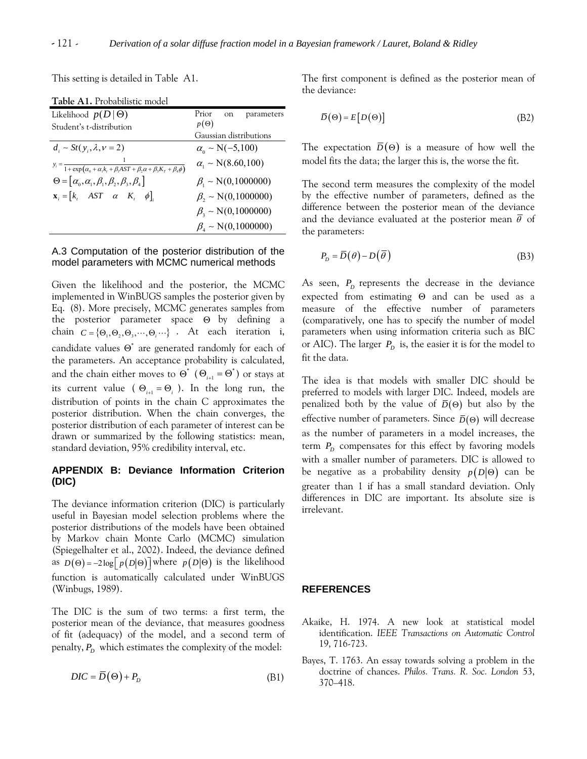This setting is detailed in Table A1.

| Likelihood $p(D   \Theta)$                                                                                          | Prior<br>on<br>parameters                          |
|---------------------------------------------------------------------------------------------------------------------|----------------------------------------------------|
| Student's t-distribution                                                                                            | $p(\Theta)$                                        |
|                                                                                                                     | Gaussian distributions                             |
| $d_i \sim St(v_i, \lambda, \nu = 2)$                                                                                | $\alpha_{0} \sim N(-5,100)$                        |
| $y_i = \frac{1}{1 + \exp((\alpha_0 + \alpha_1 k_t + \beta_1 A S T + \beta_2 \alpha + \beta_3 K_T + \beta_4 \phi))}$ | $\alpha_{1} \sim N(8.60, 100)$                     |
| $\Theta = [\alpha_{0}, \alpha_{1}, \beta_{1}, \beta_{2}, \beta_{3}, \beta_{4}]$                                     | $\beta_{\rm i} \sim N(0, 1000000)$                 |
| $\mathbf{x}_{i} = [k_{i} \quad AST \quad \alpha \quad K_{i} \quad \phi]$                                            | $\beta_{2} \sim N(0, 1000000)$                     |
|                                                                                                                     | $\beta_{3} \sim N(0, 1000000)$                     |
|                                                                                                                     | $\beta_{\scriptscriptstyle{A}} \sim N(0, 1000000)$ |

**Table A1.** Probabilistic model

#### A.3 Computation of the posterior distribution of the model parameters with MCMC numerical methods

Given the likelihood and the posterior, the MCMC implemented in WinBUGS samples the posterior given by Eq. (8). More precisely, MCMC generates samples from the posterior parameter space Θ by defining a chain  $C = \{ \Theta_1, \Theta_2, \Theta_3, \cdots, \Theta_i \cdots \}$ . At each iteration i, candidate values  $\Theta^*$  are generated randomly for each of the parameters. An acceptance probability is calculated, and the chain either moves to  $\Theta^*$  ( $\Theta_{i+1} = \Theta^*$ ) or stays at its current value ( $\Theta_{i+1} = \Theta_i$ ). In the long run, the distribution of points in the chain C approximates the posterior distribution. When the chain converges, the posterior distribution of each parameter of interest can be drawn or summarized by the following statistics: mean, standard deviation, 95% credibility interval, etc.

# **APPENDIX B: Deviance Information Criterion (DIC)**

The deviance information criterion (DIC) is particularly useful in Bayesian model selection problems where the posterior distributions of the models have been obtained by Markov chain Monte Carlo (MCMC) simulation (Spiegelhalter et al., 2002). Indeed, the deviance defined as  $D(\Theta) = -2\log\left[p(D|\Theta)\right]$  where  $p(D|\Theta)$  is the likelihood function is automatically calculated under WinBUGS (Winbugs, 1989).

The DIC is the sum of two terms: a first term, the posterior mean of the deviance, that measures goodness of fit (adequacy) of the model, and a second term of penalty,  $P_D$  which estimates the complexity of the model:

$$
DIC = \overline{D}(\Theta) + P_D \tag{B1}
$$

The first component is defined as the posterior mean of the deviance:

$$
\overline{D}(\Theta) = E[D(\Theta)] \tag{B2}
$$

The expectation  $\overline{D}(\Theta)$  is a measure of how well the model fits the data; the larger this is, the worse the fit.

The second term measures the complexity of the model by the effective number of parameters, defined as the difference between the posterior mean of the deviance and the deviance evaluated at the posterior mean  $\bar{\theta}$  of the parameters:

$$
P_D = \overline{D}(\theta) - D(\overline{\theta})
$$
 (B3)

As seen,  $P_D$  represents the decrease in the deviance expected from estimating Θ and can be used as a measure of the effective number of parameters (comparatively, one has to specify the number of model parameters when using information criteria such as BIC or AIC). The larger  $P_D$  is, the easier it is for the model to fit the data.

The idea is that models with smaller DIC should be preferred to models with larger DIC. Indeed, models are penalized both by the value of  $\overline{D}(\Theta)$  but also by the effective number of parameters. Since  $\bar{D}(\Theta)$  will decrease as the number of parameters in a model increases, the term  $P_D$  compensates for this effect by favoring models with a smaller number of parameters. DIC is allowed to be negative as a probability density  $p(D|\Theta)$  can be greater than 1 if has a small standard deviation. Only differences in DIC are important. Its absolute size is irrelevant.

# **REFERENCES**

- Akaike, H. 1974. A new look at statistical model identification. *IEEE Transactions on Automatic Control* 19, 716-723.
- Bayes, T. 1763. An essay towards solving a problem in the doctrine of chances. *Philos. Trans. R. Soc. London* 53, 370–418.